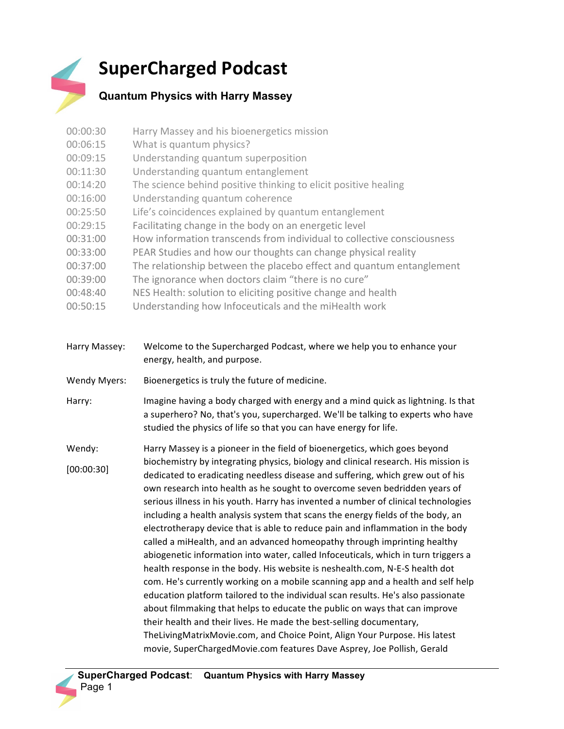## **SuperCharged Podcast**

## **Quantum Physics with Harry Massey**

| 00:00:30            | Harry Massey and his bioenergetics mission                                                                                                                                                                                               |
|---------------------|------------------------------------------------------------------------------------------------------------------------------------------------------------------------------------------------------------------------------------------|
| 00:06:15            | What is quantum physics?                                                                                                                                                                                                                 |
| 00:09:15            | Understanding quantum superposition                                                                                                                                                                                                      |
| 00:11:30            | Understanding quantum entanglement                                                                                                                                                                                                       |
| 00:14:20            | The science behind positive thinking to elicit positive healing                                                                                                                                                                          |
| 00:16:00            | Understanding quantum coherence                                                                                                                                                                                                          |
| 00:25:50            | Life's coincidences explained by quantum entanglement                                                                                                                                                                                    |
| 00:29:15            | Facilitating change in the body on an energetic level                                                                                                                                                                                    |
| 00:31:00            | How information transcends from individual to collective consciousness                                                                                                                                                                   |
| 00:33:00            | PEAR Studies and how our thoughts can change physical reality                                                                                                                                                                            |
| 00:37:00            | The relationship between the placebo effect and quantum entanglement                                                                                                                                                                     |
| 00:39:00            | The ignorance when doctors claim "there is no cure"                                                                                                                                                                                      |
| 00:48:40            | NES Health: solution to eliciting positive change and health                                                                                                                                                                             |
| 00:50:15            | Understanding how Infoceuticals and the miHealth work                                                                                                                                                                                    |
|                     |                                                                                                                                                                                                                                          |
| Harry Massey:       | Welcome to the Supercharged Podcast, where we help you to enhance your<br>energy, health, and purpose.                                                                                                                                   |
| <b>Wendy Myers:</b> | Bioenergetics is truly the future of medicine.                                                                                                                                                                                           |
| Harry:              | Imagine having a body charged with energy and a mind quick as lightning. Is that<br>a superhero? No, that's you, supercharged. We'll be talking to experts who have<br>studied the physics of life so that you can have energy for life. |
| Wendy:              | Harry Massey is a pioneer in the field of bioenergetics, which goes beyond                                                                                                                                                               |
| [00:00:30]          | biochemistry by integrating physics, biology and clinical research. His mission is<br>dedicated to eradicating needless disease and suffering, which grew out of his                                                                     |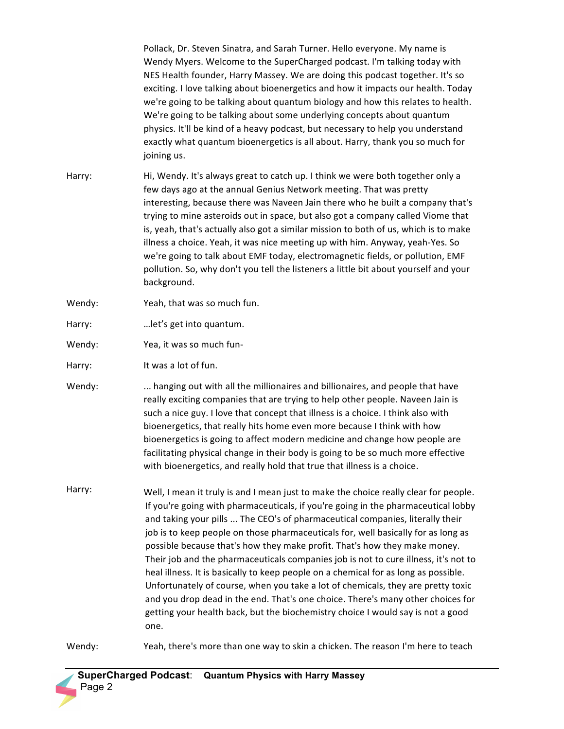Pollack, Dr. Steven Sinatra, and Sarah Turner. Hello everyone. My name is Wendy Myers. Welcome to the SuperCharged podcast. I'm talking today with NES Health founder, Harry Massey. We are doing this podcast together. It's so exciting. I love talking about bioenergetics and how it impacts our health. Today we're going to be talking about quantum biology and how this relates to health. We're going to be talking about some underlying concepts about quantum physics. It'll be kind of a heavy podcast, but necessary to help you understand exactly what quantum bioenergetics is all about. Harry, thank you so much for joining us.

- Harry: Hi, Wendy. It's always great to catch up. I think we were both together only a few days ago at the annual Genius Network meeting. That was pretty interesting, because there was Naveen Jain there who he built a company that's trying to mine asteroids out in space, but also got a company called Viome that is, yeah, that's actually also got a similar mission to both of us, which is to make illness a choice. Yeah, it was nice meeting up with him. Anyway, yeah-Yes. So we're going to talk about EMF today, electromagnetic fields, or pollution, EMF pollution. So, why don't you tell the listeners a little bit about yourself and your background.
- Wendy: Yeah, that was so much fun.
- Harry: ... let's get into quantum.
- Wendy: Yea, it was so much fun-
- Harry: It was a lot of fun.
- Wendy: ... hanging out with all the millionaires and billionaires, and people that have really exciting companies that are trying to help other people. Naveen Jain is such a nice guy. I love that concept that illness is a choice. I think also with bioenergetics, that really hits home even more because I think with how bioenergetics is going to affect modern medicine and change how people are facilitating physical change in their body is going to be so much more effective with bioenergetics, and really hold that true that illness is a choice.
- Harry: Well, I mean it truly is and I mean just to make the choice really clear for people. If you're going with pharmaceuticals, if you're going in the pharmaceutical lobby and taking your pills ... The CEO's of pharmaceutical companies, literally their job is to keep people on those pharmaceuticals for, well basically for as long as possible because that's how they make profit. That's how they make money. Their job and the pharmaceuticals companies job is not to cure illness, it's not to heal illness. It is basically to keep people on a chemical for as long as possible. Unfortunately of course, when you take a lot of chemicals, they are pretty toxic and you drop dead in the end. That's one choice. There's many other choices for getting your health back, but the biochemistry choice I would say is not a good one.

Wendy: Yeah, there's more than one way to skin a chicken. The reason I'm here to teach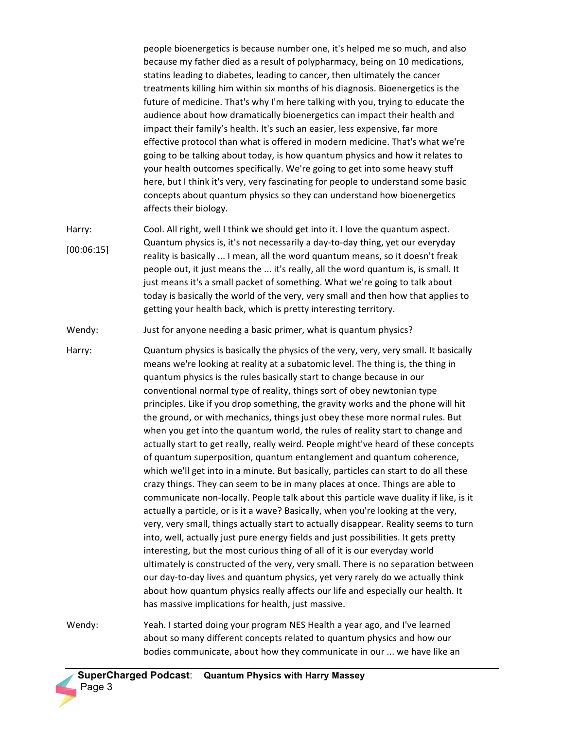people bioenergetics is because number one, it's helped me so much, and also because my father died as a result of polypharmacy, being on 10 medications, statins leading to diabetes, leading to cancer, then ultimately the cancer treatments killing him within six months of his diagnosis. Bioenergetics is the future of medicine. That's why I'm here talking with you, trying to educate the audience about how dramatically bioenergetics can impact their health and impact their family's health. It's such an easier, less expensive, far more effective protocol than what is offered in modern medicine. That's what we're going to be talking about today, is how quantum physics and how it relates to your health outcomes specifically. We're going to get into some heavy stuff here, but I think it's very, very fascinating for people to understand some basic concepts about quantum physics so they can understand how bioenergetics affects their biology.

Harry: [00:06:15] Cool. All right, well I think we should get into it. I love the quantum aspect. Quantum physics is, it's not necessarily a day-to-day thing, yet our everyday reality is basically ... I mean, all the word quantum means, so it doesn't freak people out, it just means the ... it's really, all the word quantum is, is small. It just means it's a small packet of something. What we're going to talk about today is basically the world of the very, very small and then how that applies to getting your health back, which is pretty interesting territory.

Wendy: Just for anyone needing a basic primer, what is quantum physics?

Harry: Quantum physics is basically the physics of the very, very, very small. It basically means we're looking at reality at a subatomic level. The thing is, the thing in quantum physics is the rules basically start to change because in our conventional normal type of reality, things sort of obey newtonian type principles. Like if you drop something, the gravity works and the phone will hit the ground, or with mechanics, things just obey these more normal rules. But when you get into the quantum world, the rules of reality start to change and actually start to get really, really weird. People might've heard of these concepts of quantum superposition, quantum entanglement and quantum coherence, which we'll get into in a minute. But basically, particles can start to do all these crazy things. They can seem to be in many places at once. Things are able to communicate non-locally. People talk about this particle wave duality if like, is it actually a particle, or is it a wave? Basically, when you're looking at the very, very, very small, things actually start to actually disappear. Reality seems to turn into, well, actually just pure energy fields and just possibilities. It gets pretty interesting, but the most curious thing of all of it is our everyday world ultimately is constructed of the very, very small. There is no separation between our day-to-day lives and quantum physics, yet very rarely do we actually think about how quantum physics really affects our life and especially our health. It has massive implications for health, just massive.

Wendy: Yeah. I started doing your program NES Health a year ago, and I've learned about so many different concepts related to quantum physics and how our bodies communicate, about how they communicate in our ... we have like an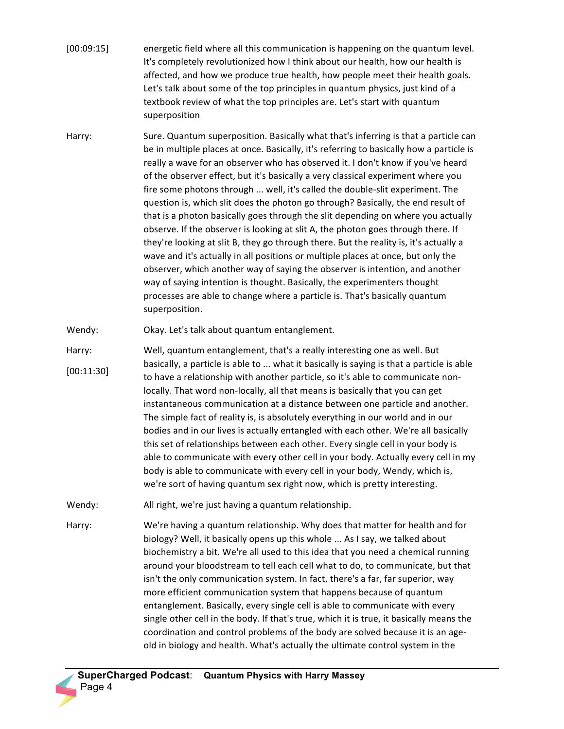- [00:09:15] energetic field where all this communication is happening on the quantum level. It's completely revolutionized how I think about our health, how our health is affected, and how we produce true health, how people meet their health goals. Let's talk about some of the top principles in quantum physics, just kind of a textbook review of what the top principles are. Let's start with quantum superposition
- Harry: Sure. Quantum superposition. Basically what that's inferring is that a particle can be in multiple places at once. Basically, it's referring to basically how a particle is really a wave for an observer who has observed it. I don't know if you've heard of the observer effect, but it's basically a very classical experiment where you fire some photons through ... well, it's called the double-slit experiment. The question is, which slit does the photon go through? Basically, the end result of that is a photon basically goes through the slit depending on where you actually observe. If the observer is looking at slit A, the photon goes through there. If they're looking at slit B, they go through there. But the reality is, it's actually a wave and it's actually in all positions or multiple places at once, but only the observer, which another way of saying the observer is intention, and another way of saying intention is thought. Basically, the experimenters thought processes are able to change where a particle is. That's basically quantum superposition.

Wendy: Okay. Let's talk about quantum entanglement.

- Harry: [00:11:30] Well, quantum entanglement, that's a really interesting one as well. But basically, a particle is able to ... what it basically is saying is that a particle is able to have a relationship with another particle, so it's able to communicate nonlocally. That word non-locally, all that means is basically that you can get instantaneous communication at a distance between one particle and another. The simple fact of reality is, is absolutely everything in our world and in our bodies and in our lives is actually entangled with each other. We're all basically this set of relationships between each other. Every single cell in your body is able to communicate with every other cell in your body. Actually every cell in my body is able to communicate with every cell in your body, Wendy, which is, we're sort of having quantum sex right now, which is pretty interesting.
- Wendy: All right, we're just having a quantum relationship.
- Harry: We're having a quantum relationship. Why does that matter for health and for biology? Well, it basically opens up this whole ... As I say, we talked about biochemistry a bit. We're all used to this idea that you need a chemical running around your bloodstream to tell each cell what to do, to communicate, but that isn't the only communication system. In fact, there's a far, far superior, way more efficient communication system that happens because of quantum entanglement. Basically, every single cell is able to communicate with every single other cell in the body. If that's true, which it is true, it basically means the coordination and control problems of the body are solved because it is an ageold in biology and health. What's actually the ultimate control system in the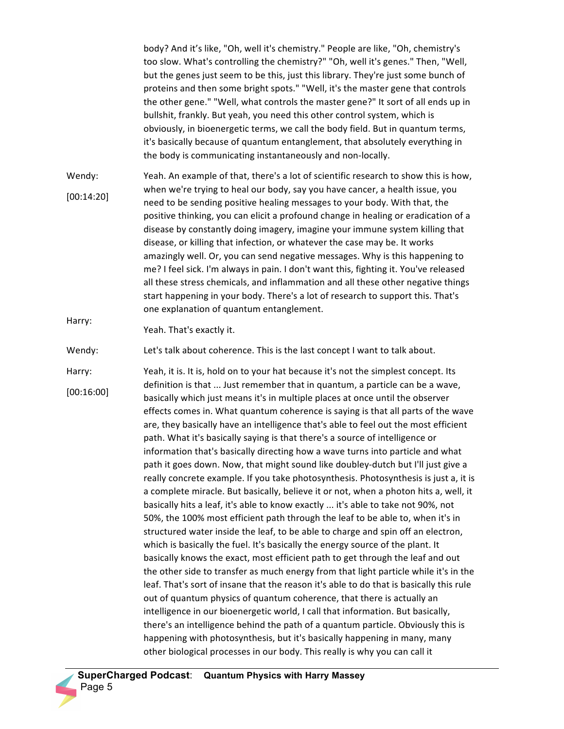body? And it's like, "Oh, well it's chemistry." People are like, "Oh, chemistry's too slow. What's controlling the chemistry?" "Oh, well it's genes." Then, "Well, but the genes just seem to be this, just this library. They're just some bunch of proteins and then some bright spots." "Well, it's the master gene that controls the other gene." "Well, what controls the master gene?" It sort of all ends up in bullshit, frankly. But yeah, you need this other control system, which is obviously, in bioenergetic terms, we call the body field. But in quantum terms, it's basically because of quantum entanglement, that absolutely everything in the body is communicating instantaneously and non-locally.

Wendy: [00:14:20] Yeah. An example of that, there's a lot of scientific research to show this is how, when we're trying to heal our body, say you have cancer, a health issue, you need to be sending positive healing messages to your body. With that, the positive thinking, you can elicit a profound change in healing or eradication of a disease by constantly doing imagery, imagine your immune system killing that disease, or killing that infection, or whatever the case may be. It works amazingly well. Or, you can send negative messages. Why is this happening to me? I feel sick. I'm always in pain. I don't want this, fighting it. You've released all these stress chemicals, and inflammation and all these other negative things start happening in your body. There's a lot of research to support this. That's one explanation of quantum entanglement.

Harry:

Yeah. That's exactly it.

Wendy: Let's talk about coherence. This is the last concept I want to talk about.

Harry: [00:16:00] Yeah, it is. It is, hold on to your hat because it's not the simplest concept. Its definition is that ... Just remember that in quantum, a particle can be a wave, basically which just means it's in multiple places at once until the observer effects comes in. What quantum coherence is saying is that all parts of the wave are, they basically have an intelligence that's able to feel out the most efficient path. What it's basically saying is that there's a source of intelligence or information that's basically directing how a wave turns into particle and what path it goes down. Now, that might sound like doubley-dutch but I'll just give a really concrete example. If you take photosynthesis. Photosynthesis is just a, it is a complete miracle. But basically, believe it or not, when a photon hits a, well, it basically hits a leaf, it's able to know exactly ... it's able to take not 90%, not 50%, the 100% most efficient path through the leaf to be able to, when it's in structured water inside the leaf, to be able to charge and spin off an electron, which is basically the fuel. It's basically the energy source of the plant. It basically knows the exact, most efficient path to get through the leaf and out the other side to transfer as much energy from that light particle while it's in the leaf. That's sort of insane that the reason it's able to do that is basically this rule out of quantum physics of quantum coherence, that there is actually an intelligence in our bioenergetic world, I call that information. But basically, there's an intelligence behind the path of a quantum particle. Obviously this is happening with photosynthesis, but it's basically happening in many, many other biological processes in our body. This really is why you can call it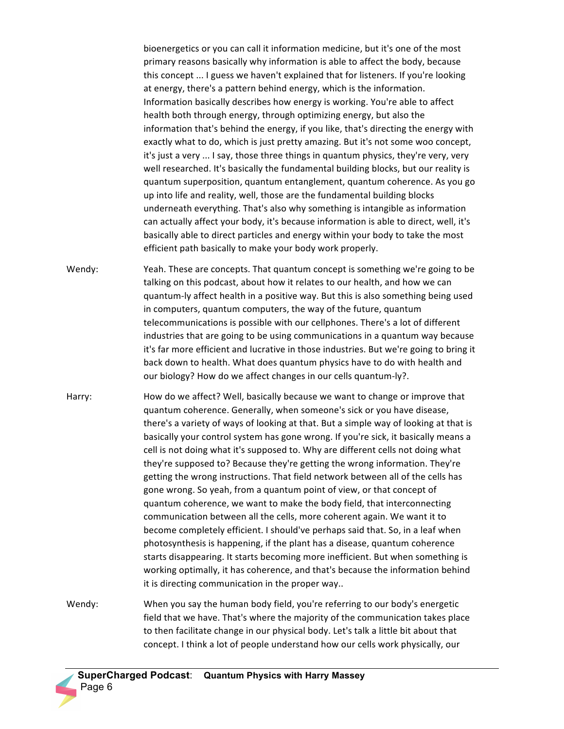bioenergetics or you can call it information medicine, but it's one of the most primary reasons basically why information is able to affect the body, because this concept ... I guess we haven't explained that for listeners. If you're looking at energy, there's a pattern behind energy, which is the information. Information basically describes how energy is working. You're able to affect health both through energy, through optimizing energy, but also the information that's behind the energy, if you like, that's directing the energy with exactly what to do, which is just pretty amazing. But it's not some woo concept, it's just a very ... I say, those three things in quantum physics, they're very, very well researched. It's basically the fundamental building blocks, but our reality is quantum superposition, quantum entanglement, quantum coherence. As you go up into life and reality, well, those are the fundamental building blocks underneath everything. That's also why something is intangible as information can actually affect your body, it's because information is able to direct, well, it's basically able to direct particles and energy within your body to take the most efficient path basically to make your body work properly.

- Wendy: Yeah. These are concepts. That quantum concept is something we're going to be talking on this podcast, about how it relates to our health, and how we can quantum-ly affect health in a positive way. But this is also something being used in computers, quantum computers, the way of the future, quantum telecommunications is possible with our cellphones. There's a lot of different industries that are going to be using communications in a quantum way because it's far more efficient and lucrative in those industries. But we're going to bring it back down to health. What does quantum physics have to do with health and our biology? How do we affect changes in our cells quantum-ly?.
- Harry: How do we affect? Well, basically because we want to change or improve that quantum coherence. Generally, when someone's sick or you have disease, there's a variety of ways of looking at that. But a simple way of looking at that is basically your control system has gone wrong. If you're sick, it basically means a cell is not doing what it's supposed to. Why are different cells not doing what they're supposed to? Because they're getting the wrong information. They're getting the wrong instructions. That field network between all of the cells has gone wrong. So yeah, from a quantum point of view, or that concept of quantum coherence, we want to make the body field, that interconnecting communication between all the cells, more coherent again. We want it to become completely efficient. I should've perhaps said that. So, in a leaf when photosynthesis is happening, if the plant has a disease, quantum coherence starts disappearing. It starts becoming more inefficient. But when something is working optimally, it has coherence, and that's because the information behind it is directing communication in the proper way..

Wendy: When you say the human body field, you're referring to our body's energetic field that we have. That's where the majority of the communication takes place to then facilitate change in our physical body. Let's talk a little bit about that concept. I think a lot of people understand how our cells work physically, our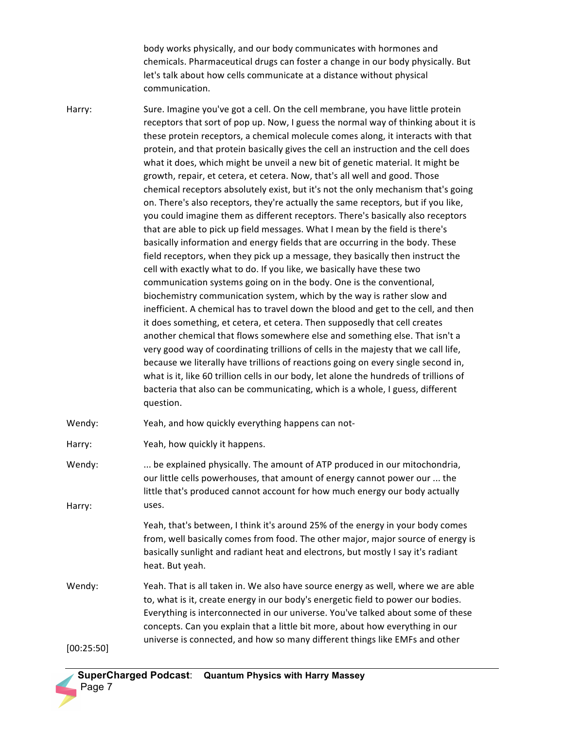body works physically, and our body communicates with hormones and chemicals. Pharmaceutical drugs can foster a change in our body physically. But let's talk about how cells communicate at a distance without physical communication.

Harry: Sure. Imagine you've got a cell. On the cell membrane, you have little protein receptors that sort of pop up. Now, I guess the normal way of thinking about it is these protein receptors, a chemical molecule comes along, it interacts with that protein, and that protein basically gives the cell an instruction and the cell does what it does, which might be unveil a new bit of genetic material. It might be growth, repair, et cetera, et cetera. Now, that's all well and good. Those chemical receptors absolutely exist, but it's not the only mechanism that's going on. There's also receptors, they're actually the same receptors, but if you like, you could imagine them as different receptors. There's basically also receptors that are able to pick up field messages. What I mean by the field is there's basically information and energy fields that are occurring in the body. These field receptors, when they pick up a message, they basically then instruct the cell with exactly what to do. If you like, we basically have these two communication systems going on in the body. One is the conventional, biochemistry communication system, which by the way is rather slow and inefficient. A chemical has to travel down the blood and get to the cell, and then it does something, et cetera, et cetera. Then supposedly that cell creates another chemical that flows somewhere else and something else. That isn't a very good way of coordinating trillions of cells in the majesty that we call life, because we literally have trillions of reactions going on every single second in, what is it, like 60 trillion cells in our body, let alone the hundreds of trillions of bacteria that also can be communicating, which is a whole, I guess, different question.

Wendy: Yeah, and how quickly everything happens can not-

Harry: Yeah, how quickly it happens.

Wendy: Harry: ... be explained physically. The amount of ATP produced in our mitochondria, our little cells powerhouses, that amount of energy cannot power our ... the little that's produced cannot account for how much energy our body actually uses.

> Yeah, that's between, I think it's around 25% of the energy in your body comes from, well basically comes from food. The other major, major source of energy is basically sunlight and radiant heat and electrons, but mostly I say it's radiant heat. But yeah.

Wendy: Yeah. That is all taken in. We also have source energy as well, where we are able to, what is it, create energy in our body's energetic field to power our bodies. Everything is interconnected in our universe. You've talked about some of these concepts. Can you explain that a little bit more, about how everything in our universe is connected, and how so many different things like EMFs and other

[00:25:50]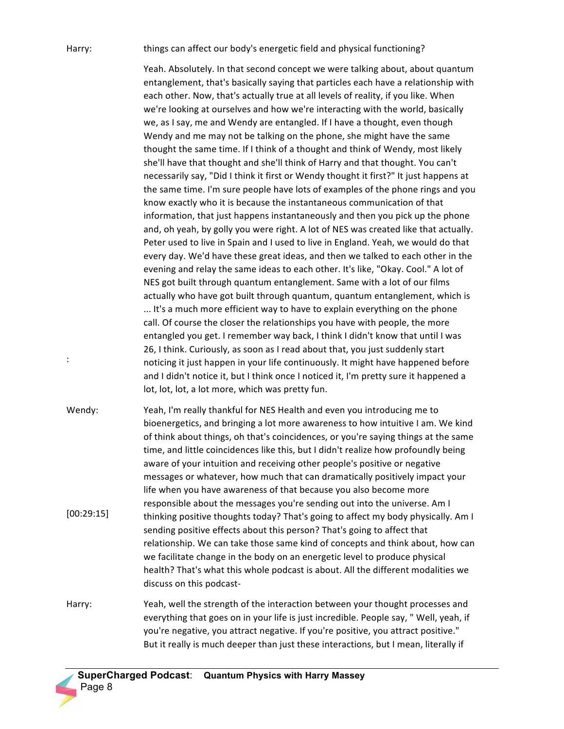## Harry:

:

things can affect our body's energetic field and physical functioning?

Yeah. Absolutely. In that second concept we were talking about, about quantum entanglement, that's basically saying that particles each have a relationship with each other. Now, that's actually true at all levels of reality, if you like. When we're looking at ourselves and how we're interacting with the world, basically we, as I say, me and Wendy are entangled. If I have a thought, even though Wendy and me may not be talking on the phone, she might have the same thought the same time. If I think of a thought and think of Wendy, most likely she'll have that thought and she'll think of Harry and that thought. You can't necessarily say, "Did I think it first or Wendy thought it first?" It just happens at the same time. I'm sure people have lots of examples of the phone rings and you know exactly who it is because the instantaneous communication of that information, that just happens instantaneously and then you pick up the phone and, oh yeah, by golly you were right. A lot of NES was created like that actually. Peter used to live in Spain and I used to live in England. Yeah, we would do that every day. We'd have these great ideas, and then we talked to each other in the evening and relay the same ideas to each other. It's like, "Okay. Cool." A lot of NES got built through quantum entanglement. Same with a lot of our films actually who have got built through quantum, quantum entanglement, which is ... It's a much more efficient way to have to explain everything on the phone call. Of course the closer the relationships you have with people, the more entangled you get. I remember way back, I think I didn't know that until I was 26, I think. Curiously, as soon as I read about that, you just suddenly start noticing it just happen in your life continuously. It might have happened before and I didn't notice it, but I think once I noticed it, I'm pretty sure it happened a lot, lot, lot, a lot more, which was pretty fun.

Wendy: [00:29:15] Yeah, I'm really thankful for NES Health and even you introducing me to bioenergetics, and bringing a lot more awareness to how intuitive I am. We kind of think about things, oh that's coincidences, or you're saying things at the same time, and little coincidences like this, but I didn't realize how profoundly being aware of your intuition and receiving other people's positive or negative messages or whatever, how much that can dramatically positively impact your life when you have awareness of that because you also become more responsible about the messages you're sending out into the universe. Am I thinking positive thoughts today? That's going to affect my body physically. Am I sending positive effects about this person? That's going to affect that relationship. We can take those same kind of concepts and think about, how can we facilitate change in the body on an energetic level to produce physical health? That's what this whole podcast is about. All the different modalities we discuss on this podcast-

Harry: Yeah, well the strength of the interaction between your thought processes and everything that goes on in your life is just incredible. People say, " Well, yeah, if you're negative, you attract negative. If you're positive, you attract positive." But it really is much deeper than just these interactions, but I mean, literally if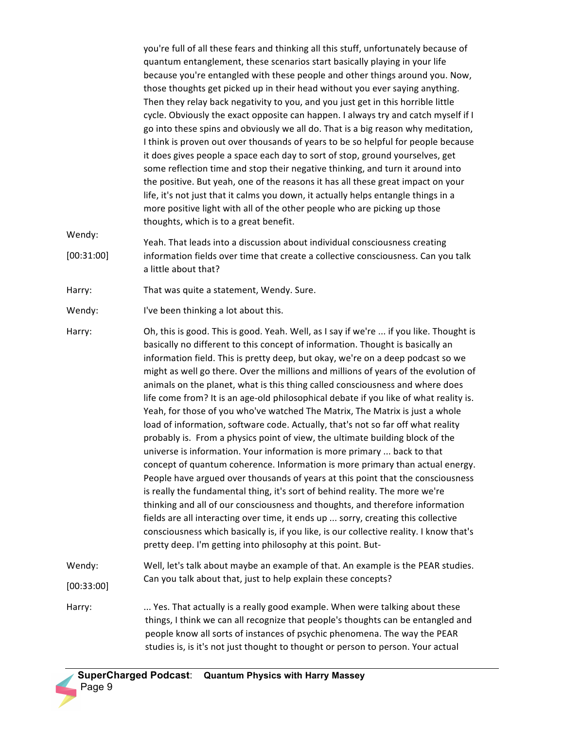you're full of all these fears and thinking all this stuff, unfortunately because of quantum entanglement, these scenarios start basically playing in your life because you're entangled with these people and other things around you. Now, those thoughts get picked up in their head without you ever saying anything. Then they relay back negativity to you, and you just get in this horrible little cycle. Obviously the exact opposite can happen. I always try and catch myself if I go into these spins and obviously we all do. That is a big reason why meditation, I think is proven out over thousands of years to be so helpful for people because it does gives people a space each day to sort of stop, ground yourselves, get some reflection time and stop their negative thinking, and turn it around into the positive. But yeah, one of the reasons it has all these great impact on your life, it's not just that it calms you down, it actually helps entangle things in a more positive light with all of the other people who are picking up those thoughts, which is to a great benefit.

Wendy: [00:31:00] Yeah. That leads into a discussion about individual consciousness creating information fields over time that create a collective consciousness. Can you talk a little about that?

- Harry: That was quite a statement, Wendy. Sure.
- Wendy: I've been thinking a lot about this.
- Harry: Oh, this is good. This is good. Yeah. Well, as I say if we're ... if you like. Thought is basically no different to this concept of information. Thought is basically an information field. This is pretty deep, but okay, we're on a deep podcast so we might as well go there. Over the millions and millions of years of the evolution of animals on the planet, what is this thing called consciousness and where does life come from? It is an age-old philosophical debate if you like of what reality is. Yeah, for those of you who've watched The Matrix, The Matrix is just a whole load of information, software code. Actually, that's not so far off what reality probably is. From a physics point of view, the ultimate building block of the universe is information. Your information is more primary ... back to that concept of quantum coherence. Information is more primary than actual energy. People have argued over thousands of years at this point that the consciousness is really the fundamental thing, it's sort of behind reality. The more we're thinking and all of our consciousness and thoughts, and therefore information fields are all interacting over time, it ends up ... sorry, creating this collective consciousness which basically is, if you like, is our collective reality. I know that's pretty deep. I'm getting into philosophy at this point. But-Wendy: Well, let's talk about maybe an example of that. An example is the PEAR studies.

[00:33:00]

Harry: .... Yes. That actually is a really good example. When were talking about these things, I think we can all recognize that people's thoughts can be entangled and people know all sorts of instances of psychic phenomena. The way the PEAR studies is, is it's not just thought to thought or person to person. Your actual

Can you talk about that, just to help explain these concepts?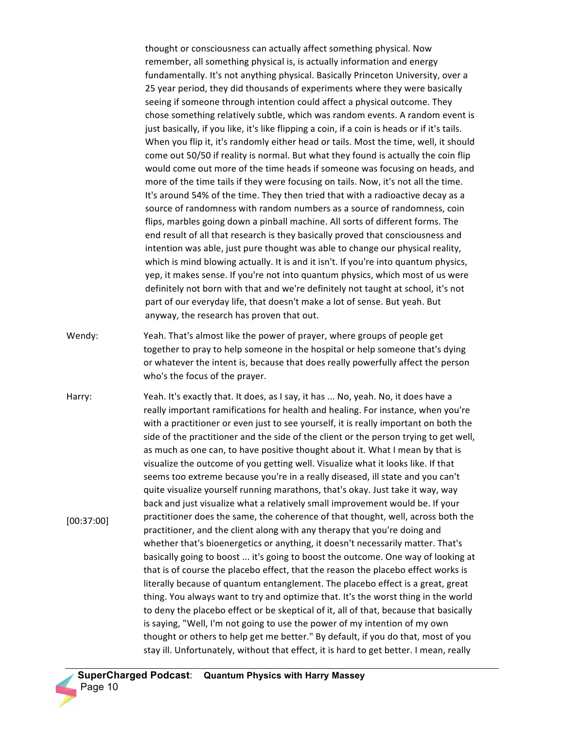thought or consciousness can actually affect something physical. Now remember, all something physical is, is actually information and energy fundamentally. It's not anything physical. Basically Princeton University, over a 25 year period, they did thousands of experiments where they were basically seeing if someone through intention could affect a physical outcome. They chose something relatively subtle, which was random events. A random event is just basically, if you like, it's like flipping a coin, if a coin is heads or if it's tails. When you flip it, it's randomly either head or tails. Most the time, well, it should come out 50/50 if reality is normal. But what they found is actually the coin flip would come out more of the time heads if someone was focusing on heads, and more of the time tails if they were focusing on tails. Now, it's not all the time. It's around 54% of the time. They then tried that with a radioactive decay as a source of randomness with random numbers as a source of randomness, coin flips, marbles going down a pinball machine. All sorts of different forms. The end result of all that research is they basically proved that consciousness and intention was able, just pure thought was able to change our physical reality, which is mind blowing actually. It is and it isn't. If you're into quantum physics, yep, it makes sense. If you're not into quantum physics, which most of us were definitely not born with that and we're definitely not taught at school, it's not part of our everyday life, that doesn't make a lot of sense. But yeah. But anyway, the research has proven that out.

- Wendy: Yeah. That's almost like the power of prayer, where groups of people get together to pray to help someone in the hospital or help someone that's dying or whatever the intent is, because that does really powerfully affect the person who's the focus of the prayer.
- Harry: [00:37:00] Yeah. It's exactly that. It does, as I say, it has ... No, yeah. No, it does have a really important ramifications for health and healing. For instance, when you're with a practitioner or even just to see yourself, it is really important on both the side of the practitioner and the side of the client or the person trying to get well, as much as one can, to have positive thought about it. What I mean by that is visualize the outcome of you getting well. Visualize what it looks like. If that seems too extreme because you're in a really diseased, ill state and you can't quite visualize yourself running marathons, that's okay. Just take it way, way back and just visualize what a relatively small improvement would be. If your practitioner does the same, the coherence of that thought, well, across both the practitioner, and the client along with any therapy that you're doing and whether that's bioenergetics or anything, it doesn't necessarily matter. That's basically going to boost ... it's going to boost the outcome. One way of looking at that is of course the placebo effect, that the reason the placebo effect works is literally because of quantum entanglement. The placebo effect is a great, great thing. You always want to try and optimize that. It's the worst thing in the world to deny the placebo effect or be skeptical of it, all of that, because that basically is saying, "Well, I'm not going to use the power of my intention of my own thought or others to help get me better." By default, if you do that, most of you stay ill. Unfortunately, without that effect, it is hard to get better. I mean, really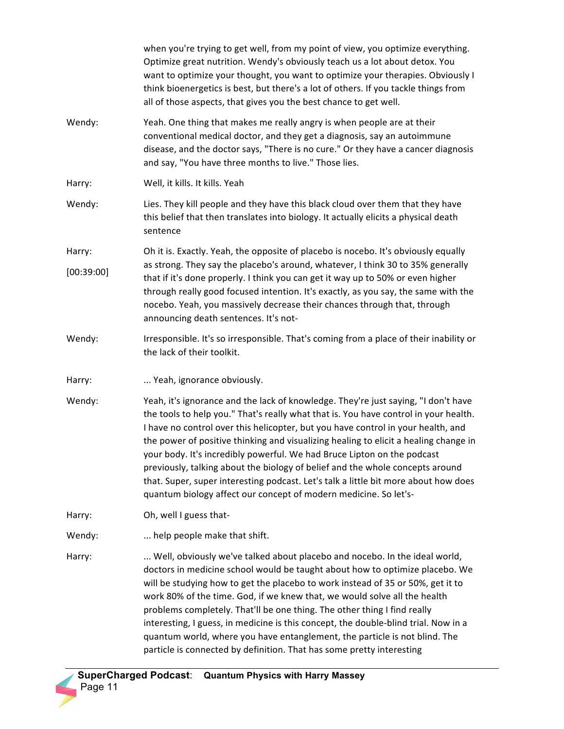|            | when you're trying to get well, from my point of view, you optimize everything.<br>Optimize great nutrition. Wendy's obviously teach us a lot about detox. You<br>want to optimize your thought, you want to optimize your therapies. Obviously I<br>think bioenergetics is best, but there's a lot of others. If you tackle things from<br>all of those aspects, that gives you the best chance to get well.                                                                                                                                                                                                                                                                 |
|------------|-------------------------------------------------------------------------------------------------------------------------------------------------------------------------------------------------------------------------------------------------------------------------------------------------------------------------------------------------------------------------------------------------------------------------------------------------------------------------------------------------------------------------------------------------------------------------------------------------------------------------------------------------------------------------------|
| Wendy:     | Yeah. One thing that makes me really angry is when people are at their<br>conventional medical doctor, and they get a diagnosis, say an autoimmune<br>disease, and the doctor says, "There is no cure." Or they have a cancer diagnosis<br>and say, "You have three months to live." Those lies.                                                                                                                                                                                                                                                                                                                                                                              |
| Harry:     | Well, it kills. It kills. Yeah                                                                                                                                                                                                                                                                                                                                                                                                                                                                                                                                                                                                                                                |
| Wendy:     | Lies. They kill people and they have this black cloud over them that they have<br>this belief that then translates into biology. It actually elicits a physical death<br>sentence                                                                                                                                                                                                                                                                                                                                                                                                                                                                                             |
| Harry:     | Oh it is. Exactly. Yeah, the opposite of placebo is nocebo. It's obviously equally<br>as strong. They say the placebo's around, whatever, I think 30 to 35% generally<br>that if it's done properly. I think you can get it way up to 50% or even higher<br>through really good focused intention. It's exactly, as you say, the same with the<br>nocebo. Yeah, you massively decrease their chances through that, through<br>announcing death sentences. It's not-                                                                                                                                                                                                           |
| [00:39:00] |                                                                                                                                                                                                                                                                                                                                                                                                                                                                                                                                                                                                                                                                               |
| Wendy:     | Irresponsible. It's so irresponsible. That's coming from a place of their inability or<br>the lack of their toolkit.                                                                                                                                                                                                                                                                                                                                                                                                                                                                                                                                                          |
| Harry:     | Yeah, ignorance obviously.                                                                                                                                                                                                                                                                                                                                                                                                                                                                                                                                                                                                                                                    |
| Wendy:     | Yeah, it's ignorance and the lack of knowledge. They're just saying, "I don't have<br>the tools to help you." That's really what that is. You have control in your health.<br>I have no control over this helicopter, but you have control in your health, and<br>the power of positive thinking and visualizing healing to elicit a healing change in<br>your body. It's incredibly powerful. We had Bruce Lipton on the podcast<br>previously, talking about the biology of belief and the whole concepts around<br>that. Super, super interesting podcast. Let's talk a little bit more about how does<br>quantum biology affect our concept of modern medicine. So let's- |
| Harry:     | Oh, well I guess that-                                                                                                                                                                                                                                                                                                                                                                                                                                                                                                                                                                                                                                                        |
| Wendy:     | help people make that shift.                                                                                                                                                                                                                                                                                                                                                                                                                                                                                                                                                                                                                                                  |
| Harry:     | Well, obviously we've talked about placebo and nocebo. In the ideal world,<br>doctors in medicine school would be taught about how to optimize placebo. We<br>will be studying how to get the placebo to work instead of 35 or 50%, get it to<br>work 80% of the time. God, if we knew that, we would solve all the health<br>problems completely. That'll be one thing. The other thing I find really<br>interesting, I guess, in medicine is this concept, the double-blind trial. Now in a<br>quantum world, where you have entanglement, the particle is not blind. The<br>particle is connected by definition. That has some pretty interesting                          |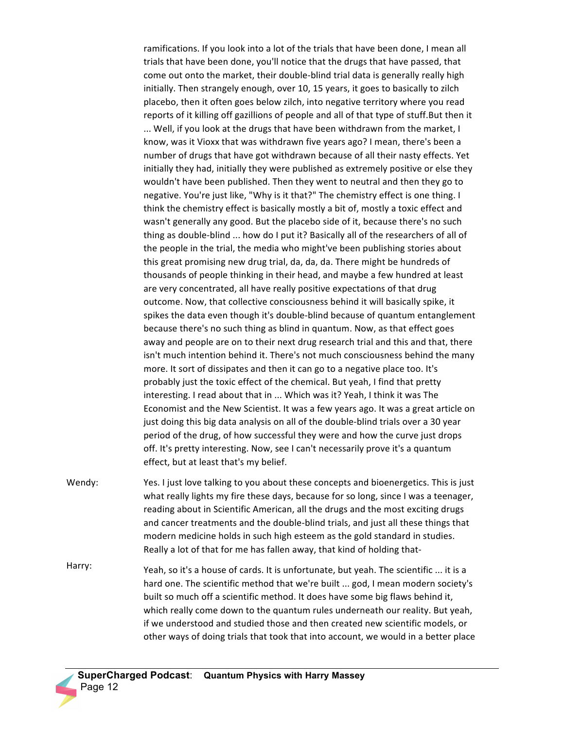ramifications. If you look into a lot of the trials that have been done, I mean all trials that have been done, you'll notice that the drugs that have passed, that come out onto the market, their double-blind trial data is generally really high initially. Then strangely enough, over 10, 15 years, it goes to basically to zilch placebo, then it often goes below zilch, into negative territory where you read reports of it killing off gazillions of people and all of that type of stuff.But then it ... Well, if you look at the drugs that have been withdrawn from the market, I know, was it Vioxx that was withdrawn five years ago? I mean, there's been a number of drugs that have got withdrawn because of all their nasty effects. Yet initially they had, initially they were published as extremely positive or else they wouldn't have been published. Then they went to neutral and then they go to negative. You're just like, "Why is it that?" The chemistry effect is one thing. I think the chemistry effect is basically mostly a bit of, mostly a toxic effect and wasn't generally any good. But the placebo side of it, because there's no such thing as double-blind ... how do I put it? Basically all of the researchers of all of the people in the trial, the media who might've been publishing stories about this great promising new drug trial, da, da, da. There might be hundreds of thousands of people thinking in their head, and maybe a few hundred at least are very concentrated, all have really positive expectations of that drug outcome. Now, that collective consciousness behind it will basically spike, it spikes the data even though it's double-blind because of quantum entanglement because there's no such thing as blind in quantum. Now, as that effect goes away and people are on to their next drug research trial and this and that, there isn't much intention behind it. There's not much consciousness behind the many more. It sort of dissipates and then it can go to a negative place too. It's probably just the toxic effect of the chemical. But yeah, I find that pretty interesting. I read about that in ... Which was it? Yeah, I think it was The Economist and the New Scientist. It was a few years ago. It was a great article on just doing this big data analysis on all of the double-blind trials over a 30 year period of the drug, of how successful they were and how the curve just drops off. It's pretty interesting. Now, see I can't necessarily prove it's a quantum effect, but at least that's my belief.

- Wendy: Yes. I just love talking to you about these concepts and bioenergetics. This is just what really lights my fire these days, because for so long, since I was a teenager, reading about in Scientific American, all the drugs and the most exciting drugs and cancer treatments and the double-blind trials, and just all these things that modern medicine holds in such high esteem as the gold standard in studies. Really a lot of that for me has fallen away, that kind of holding that-
- Harry: Yeah, so it's a house of cards. It is unfortunate, but yeah. The scientific ... it is a hard one. The scientific method that we're built ... god, I mean modern society's built so much off a scientific method. It does have some big flaws behind it, which really come down to the quantum rules underneath our reality. But yeah, if we understood and studied those and then created new scientific models, or other ways of doing trials that took that into account, we would in a better place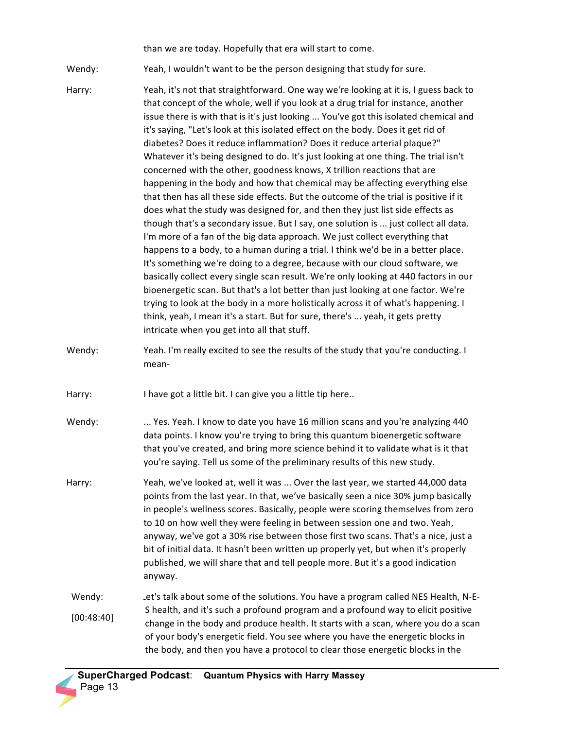than we are today. Hopefully that era will start to come.

Wendy: Yeah, I wouldn't want to be the person designing that study for sure.

- Harry: Yeah, it's not that straightforward. One way we're looking at it is, I guess back to that concept of the whole, well if you look at a drug trial for instance, another issue there is with that is it's just looking ... You've got this isolated chemical and it's saying, "Let's look at this isolated effect on the body. Does it get rid of diabetes? Does it reduce inflammation? Does it reduce arterial plaque?" Whatever it's being designed to do. It's just looking at one thing. The trial isn't concerned with the other, goodness knows, X trillion reactions that are happening in the body and how that chemical may be affecting everything else that then has all these side effects. But the outcome of the trial is positive if it does what the study was designed for, and then they just list side effects as though that's a secondary issue. But I say, one solution is ... just collect all data. I'm more of a fan of the big data approach. We just collect everything that happens to a body, to a human during a trial. I think we'd be in a better place. It's something we're doing to a degree, because with our cloud software, we basically collect every single scan result. We're only looking at 440 factors in our bioenergetic scan. But that's a lot better than just looking at one factor. We're trying to look at the body in a more holistically across it of what's happening. I think, yeah, I mean it's a start. But for sure, there's ... yeah, it gets pretty intricate when you get into all that stuff.
- Wendy: Yeah. I'm really excited to see the results of the study that you're conducting. I mean-
- Harry: I have got a little bit. I can give you a little tip here..
- Wendy: ... Yes. Yeah. I know to date you have 16 million scans and you're analyzing 440 data points. I know you're trying to bring this quantum bioenergetic software that you've created, and bring more science behind it to validate what is it that you're saying. Tell us some of the preliminary results of this new study.
- Harry: Yeah, we've looked at, well it was ... Over the last year, we started 44,000 data points from the last year. In that, we've basically seen a nice 30% jump basically in people's wellness scores. Basically, people were scoring themselves from zero to 10 on how well they were feeling in between session one and two. Yeah, anyway, we've got a 30% rise between those first two scans. That's a nice, just a bit of initial data. It hasn't been written up properly yet, but when it's properly published, we will share that and tell people more. But it's a good indication anyway.
- Wendy: [00:48:40] Let's talk about some of the solutions. You have a program called NES Health, N-E-S health, and it's such a profound program and a profound way to elicit positive change in the body and produce health. It starts with a scan, where you do a scan of your body's energetic field. You see where you have the energetic blocks in the body, and then you have a protocol to clear those energetic blocks in the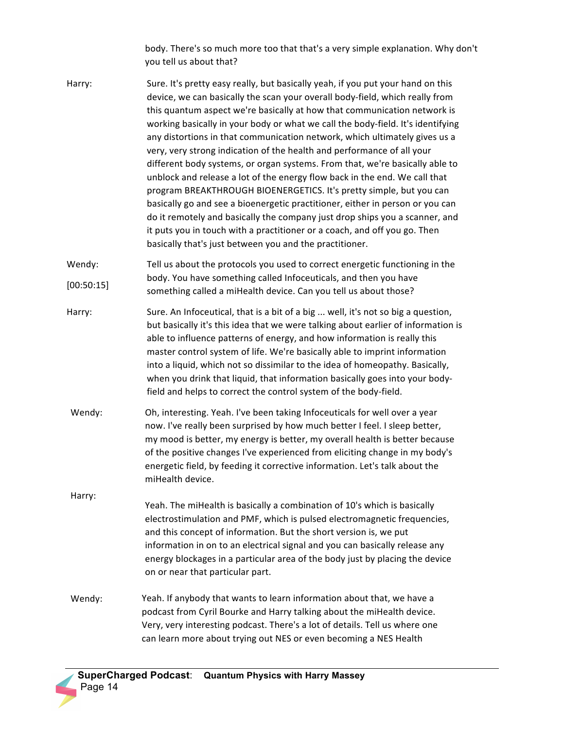body. There's so much more too that that's a very simple explanation. Why don't you tell us about that?

- Harry: Sure. It's pretty easy really, but basically yeah, if you put your hand on this device, we can basically the scan your overall body-field, which really from this quantum aspect we're basically at how that communication network is working basically in your body or what we call the body-field. It's identifying any distortions in that communication network, which ultimately gives us a very, very strong indication of the health and performance of all your different body systems, or organ systems. From that, we're basically able to unblock and release a lot of the energy flow back in the end. We call that program BREAKTHROUGH BIOENERGETICS. It's pretty simple, but you can basically go and see a bioenergetic practitioner, either in person or you can do it remotely and basically the company just drop ships you a scanner, and it puts you in touch with a practitioner or a coach, and off you go. Then basically that's just between you and the practitioner.
- Wendy: [00:50:15] Tell us about the protocols you used to correct energetic functioning in the body. You have something called Infoceuticals, and then you have something called a miHealth device. Can you tell us about those?
- Harry: Sure. An Infoceutical, that is a bit of a big ... well, it's not so big a question, but basically it's this idea that we were talking about earlier of information is able to influence patterns of energy, and how information is really this master control system of life. We're basically able to imprint information into a liquid, which not so dissimilar to the idea of homeopathy. Basically, when you drink that liquid, that information basically goes into your bodyfield and helps to correct the control system of the body-field.
- Wendy: Oh, interesting. Yeah. I've been taking Infoceuticals for well over a year now. I've really been surprised by how much better I feel. I sleep better, my mood is better, my energy is better, my overall health is better because of the positive changes I've experienced from eliciting change in my body's energetic field, by feeding it corrective information. Let's talk about the miHealth device.
- Harry: Yeah. The miHealth is basically a combination of 10's which is basically electrostimulation and PMF, which is pulsed electromagnetic frequencies, and this concept of information. But the short version is, we put information in on to an electrical signal and you can basically release any energy blockages in a particular area of the body just by placing the device on or near that particular part.
- Wendy: Yeah. If anybody that wants to learn information about that, we have a podcast from Cyril Bourke and Harry talking about the miHealth device. Very, very interesting podcast. There's a lot of details. Tell us where one can learn more about trying out NES or even becoming a NES Health